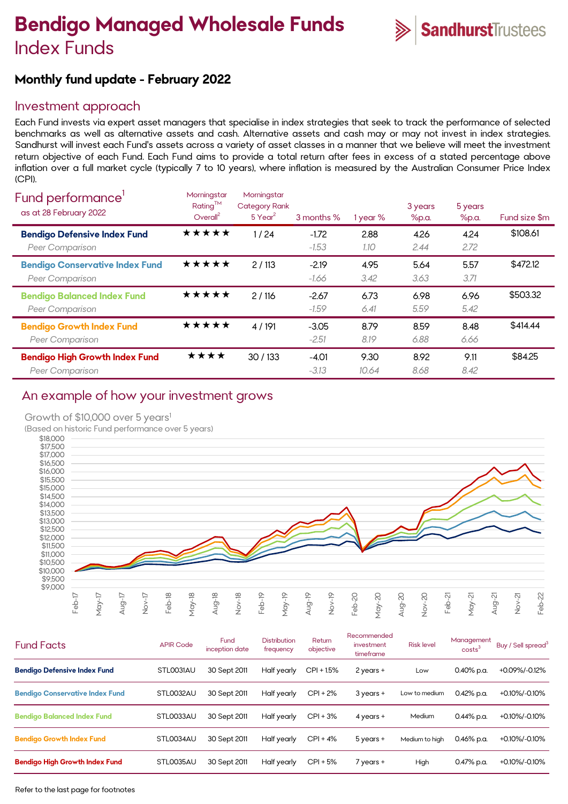# **Bendigo Managed Wholesale Funds** Index Funds



# **Monthly fund update - February 2022**

## Investment approach

Each Fund invests via expert asset managers that specialise in index strategies that seek to track the performance of selected benchmarks as well as alternative assets and cash. Alternative assets and cash may or may not invest in index strategies. Sandhurst will invest each Fund's assets across a variety of asset classes in a manner that we believe will meet the investment return objective of each Fund. Each Fund aims to provide a total return after fees in excess of a stated percentage above inflation over a full market cycle (typically 7 to 10 years), where inflation is measured by the Australian Consumer Price Index (CPI).

| Fund performance'<br>as at 28 February 2022                     | Morningstar<br>Rating™<br>Overall <sup>2</sup> | Morningstar<br><b>Category Rank</b><br>$5$ Year <sup>2</sup> | 3 months %         | 1 year %      | 3 years<br>%p.a. | 5 years<br>%p.a. | Fund size \$m |
|-----------------------------------------------------------------|------------------------------------------------|--------------------------------------------------------------|--------------------|---------------|------------------|------------------|---------------|
| <b>Bendigo Defensive Index Fund</b><br>Peer Comparison          | *****                                          | 1/24                                                         | $-1.72$<br>$-1.53$ | 2.88<br>1.10  | 4.26<br>2.44     | 4.24<br>2.72     | \$108.61      |
| <b>Bendigo Conservative Index Fund</b><br>Peer Comparison       | ★★★★★                                          | 2/113                                                        | $-2.19$<br>-1.66   | 4.95<br>3.42  | 5.64<br>3.63     | 5.57<br>3.71     | \$472.12      |
| <b>Bendigo Balanced Index Fund</b><br>Peer Comparison           | ★★★★★                                          | 2/116                                                        | $-2.67$<br>$-1.59$ | 6.73<br>6.41  | 6.98<br>5.59     | 6.96<br>5.42     | \$503.32      |
| <b>Bendigo Growth Index Fund</b><br>Peer Comparison             | ★★★★★                                          | 4 / 191                                                      | $-3.05$<br>$-2.51$ | 8.79<br>8.19  | 8.59<br>6.88     | 8.48<br>6.66     | \$414.44      |
| <b>Bendigo High Growth Index Fund</b><br><b>Peer Comparison</b> | ****                                           | 30/133                                                       | $-4.01$<br>$-3.13$ | 9.30<br>10.64 | 8.92<br>8.68     | 9.11<br>8.42     | \$84.25       |

# An example of how your investment grows

#### Growth of \$10,000 over 5 years<sup>1</sup>

(Based on historic Fund performance over 5 years)



| <b>Fund Facts</b>                      | <b>APIR Code</b> | Fund<br>inception date | <b>Distribution</b><br>frequency | Return<br>objective | Recommended<br>investment<br>timeframe | <b>Risk level</b> | Management<br>costs <sup>3</sup> | Buy / Sell spread <sup>3</sup> |
|----------------------------------------|------------------|------------------------|----------------------------------|---------------------|----------------------------------------|-------------------|----------------------------------|--------------------------------|
| <b>Bendigo Defensive Index Fund</b>    | STLO031AU        | 30 Sept 2011           | Half yearly                      | $CPI + 1.5%$        | $2$ years +                            | Low               | $0.40\%$ p.a.                    | +0.09%/-0.12%                  |
| <b>Bendigo Conservative Index Fund</b> | STL0032AU        | 30 Sept 2011           | Half yearly                      | $CPI + 2%$          | $3$ years +                            | Low to medium     | $0.42%$ p.a.                     | +0.10%/-0.10%                  |
| <b>Bendigo Balanced Index Fund</b>     | STL0033AU        | 30 Sept 2011           | Half yearly                      | $CPI + 3%$          | $4$ years $+$                          | Medium            | $0.44\%$ p.a.                    | +0.10%/-0.10%                  |
| <b>Bendigo Growth Index Fund</b>       | STL0034AU        | 30 Sept 2011           | Half yearly                      | $CPI + 4%$          | $5$ years $+$                          | Medium to high    | $0.46\%$ p.a.                    | +0.10%/-0.10%                  |
| <b>Bendigo High Growth Index Fund</b>  | STL0035AU        | 30 Sept 2011           | Half yearly                      | $CPI + 5%$          | 7 years +                              | High              | $0.47%$ p.a.                     | +0.10%/-0.10%                  |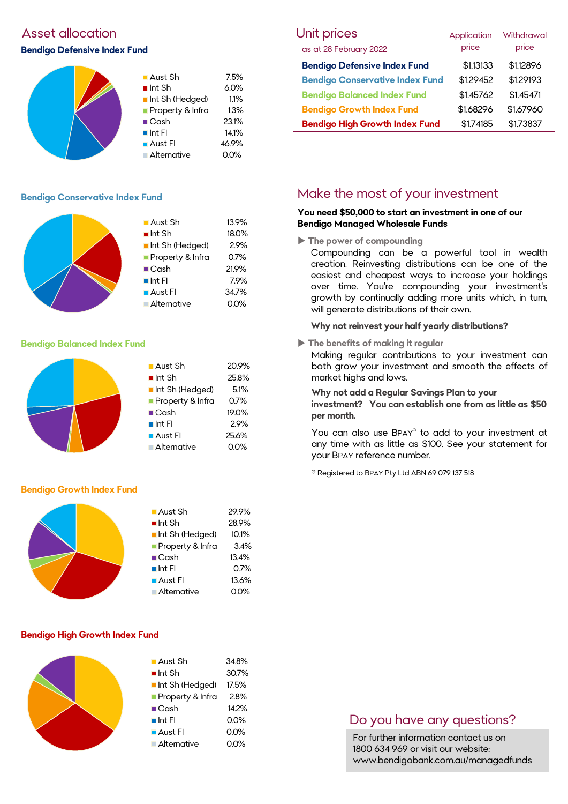## Asset allocation

#### **Bendigo Defensive Index Fund**



## **Bendigo Conservative Index Fund**



# **Bendigo Balanced Index Fund**

## ■ Aust Sh 20.9% ■ Int Sh 25.8% Int Sh (Hedged) 5.1% Property & Infra 0.7% ■ Cash 19.0%  $\blacksquare$  Int FI 2.9% **Aust FI** 25.6% Alternative 0.0%

## **Bendigo Growth Index Fund**



## **Bendigo High Growth Index Fund**

| $\blacksquare$ Aust Sh | 34.8% |
|------------------------|-------|
| $\blacksquare$ Int Sh  | 30.7% |
| Int Sh (Hedged)        | 17.5% |
| Property & Infra       | 2.8%  |
| $\blacksquare$ Cash    | 14.2% |
| $\blacksquare$ Int FI  | 0.0%  |
| $\blacksquare$ Aust FI | 0.0%  |
| Alternative            | 0.0%  |
|                        |       |

| <b>Unit prices</b>                     | Application | Withdrawal |  |
|----------------------------------------|-------------|------------|--|
| as at 28 February 2022                 | price       | price      |  |
| <b>Bendigo Defensive Index Fund</b>    | \$1.13133   | \$1.12896  |  |
| <b>Bendigo Conservative Index Fund</b> | \$1.29452   | \$1.29193  |  |
| <b>Bendigo Balanced Index Fund</b>     | \$1.45762   | \$1.45471  |  |
| <b>Bendigo Growth Index Fund</b>       | \$1.68296   | \$1.67960  |  |
| <b>Bendigo High Growth Index Fund</b>  | \$1.74185   | \$1.73837  |  |

# Make the most of your investment

#### **You need \$50,000 to start an investment in one of our Bendigo Managed Wholesale Funds**

**The power of compounding**

Compounding can be a powerful tool in wealth creation. Reinvesting distributions can be one of the easiest and cheapest ways to increase your holdings over time. You're compounding your investment's growth by continually adding more units which, in turn, will generate distributions of their own.

## **Why not reinvest your half yearly distributions?**

**The benefits of making it regular**

Making regular contributions to your investment can both grow your investment and smooth the effects of market highs and lows.

#### **Why not add a Regular Savings Plan to your**

**investment? You can establish one from as little as \$50 per month.** 

You can also use BPAY® to add to your investment at any time with as little as \$100. See your statement for your BPAY reference number.

® Registered to BPAY Pty Ltd ABN 69 079 137 518

## Do you have any questions?

For further information contact us on 1800 634 969 or visit our website: www.bendigobank.com.au/managedfunds